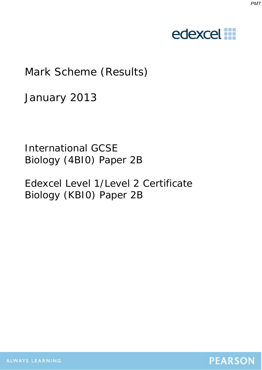#### *PMT*

# edexcel :::

## Mark Scheme (Results)

January 2013

International GCSE Biology (4BI0) Paper 2B

Edexcel Level 1/Level 2 Certificate Biology (KBI0) Paper 2B

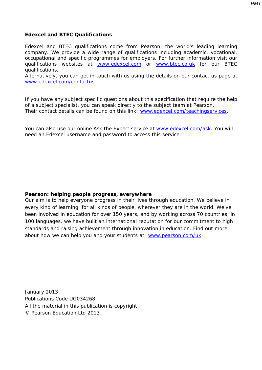*PMT*

### **Edexcel and BTEC Qualifications**

Edexcel and BTEC qualifications come from Pearson, the world's leading learning company. We provide a wide range of qualifications including academic, vocational, occupational and specific programmes for employers. For further information visit our qualifications websites at www.edexcel.com or www.btec.co.uk for our BTEC qualifications.

Alternatively, you can get in touch with us using the details on our contact us page at www.edexcel.com/contactus.

If you have any subject specific questions about this specification that require the help of a subject specialist, you can speak directly to the subject team at Pearson. Their contact details can be found on this link: www.edexcel.com/teachingservices.

You can also use our online Ask the Expert service at www.edexcel.com/ask. You will need an Edexcel username and password to access this service.

### **Pearson: helping people progress, everywhere**

Our aim is to help everyone progress in their lives through education. We believe in every kind of learning, for all kinds of people, wherever they are in the world. We've been involved in education for over 150 years, and by working across 70 countries, in 100 languages, we have built an international reputation for our commitment to high standards and raising achievement through innovation in education. Find out more about how we can help you and your students at: www.pearson.com/uk

January 2013 Publications Code UG034268 All the material in this publication is copyright © Pearson Education Ltd 2013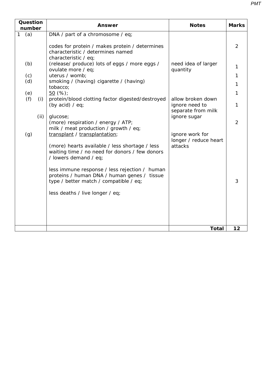| Question<br>number  | <b>Answer</b>                                                                                                                                                                                                                                                                                                                                                                                   | <b>Notes</b>                                                        | <b>Marks</b>        |
|---------------------|-------------------------------------------------------------------------------------------------------------------------------------------------------------------------------------------------------------------------------------------------------------------------------------------------------------------------------------------------------------------------------------------------|---------------------------------------------------------------------|---------------------|
| $\mathbf{1}$<br>(a) | DNA / part of a chromosome / eq;<br>codes for protein / makes protein / determines<br>characteristic / determines named<br>characteristic / eq;                                                                                                                                                                                                                                                 |                                                                     | $\overline{2}$      |
| (b)                 | (release/ produce) lots of eggs / more eggs /<br>ovulate more / eq;                                                                                                                                                                                                                                                                                                                             | need idea of larger<br>quantity                                     | 1                   |
| (c)                 | uterus / womb;                                                                                                                                                                                                                                                                                                                                                                                  |                                                                     | $\mathbf{1}$        |
| (d)                 | smoking / (having) cigarette / (having)<br>tobacco;                                                                                                                                                                                                                                                                                                                                             |                                                                     | $\mathbf{1}$        |
| (e)                 | 50(%)                                                                                                                                                                                                                                                                                                                                                                                           |                                                                     | 1                   |
| (f)<br>(i)          | protein/blood clotting factor digested/destroyed<br>(by acid) $/$ eq;                                                                                                                                                                                                                                                                                                                           | allow broken down<br>ignore need to<br>separate from milk           | 1                   |
| (ii)<br>(g)         | glucose;<br>(more) respiration / energy / ATP;<br>milk / meat production / growth / eq;<br>transplant / transplantation;<br>(more) hearts available / less shortage / less<br>waiting time / no need for donors / few donors<br>/ lowers demand / eq;<br>less immune response / less rejection / human<br>proteins / human DNA / human genes / tissue<br>type / better match / compatible / eq; | ignore sugar<br>ignore work for<br>longer / reduce heart<br>attacks | $\overline{2}$<br>3 |
|                     | less deaths / live longer / eq;                                                                                                                                                                                                                                                                                                                                                                 |                                                                     |                     |
|                     |                                                                                                                                                                                                                                                                                                                                                                                                 | <b>Total</b>                                                        | 12                  |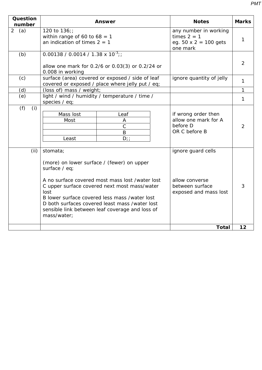| Question<br>number | <b>Answer</b>                                                                                                                                                                                                                                                                                                                                           | <b>Notes</b>                                                                       | <b>Marks</b>   |
|--------------------|---------------------------------------------------------------------------------------------------------------------------------------------------------------------------------------------------------------------------------------------------------------------------------------------------------------------------------------------------------|------------------------------------------------------------------------------------|----------------|
| 2(a)               | 120 to $136$ ;<br>within range of 60 to $68 = 1$<br>an indication of times $2 = 1$                                                                                                                                                                                                                                                                      | any number in working<br>times $2 = 1$<br>eg. $50 \times 2 = 100$ gets<br>one mark | 1              |
| (b)                | $0.00138 / 0.0014 / 1.38 \times 10^{-3}$ ;<br>allow one mark for 0.2/6 or 0.03(3) or 0.2/24 or<br>0.008 in working                                                                                                                                                                                                                                      |                                                                                    | $\overline{2}$ |
| (c)                | surface (area) covered or exposed / side of leaf<br>covered or exposed / place where jelly put / eq;                                                                                                                                                                                                                                                    | ignore quantity of jelly                                                           | 1              |
| (d)                | (loss of) mass / weight;                                                                                                                                                                                                                                                                                                                                |                                                                                    | $\mathbf{1}$   |
| (e)                | light / wind / humidity / temperature / time /<br>species / eq;                                                                                                                                                                                                                                                                                         |                                                                                    | $\mathbf{1}$   |
| (f)<br>(i)         | Mass lost<br>Leaf<br>Most<br>A<br>$\mathcal{C}$<br>B<br>$D$ ; ;<br>Least                                                                                                                                                                                                                                                                                | if wrong order then<br>allow one mark for A<br>before D<br>OR C before B           | $\overline{2}$ |
| (ii)               | stomata;<br>(more) on lower surface / (fewer) on upper<br>surface / eq;<br>A no surface covered most mass lost /water lost<br>C upper surface covered next most mass/water<br>lost<br>B lower surface covered less mass /water lost<br>D both surfaces covered least mass /water lost<br>sensible link between leaf coverage and loss of<br>mass/water; | ignore guard cells<br>allow converse<br>between surface<br>exposed and mass lost   | 3              |
|                    |                                                                                                                                                                                                                                                                                                                                                         | <b>Total</b>                                                                       | 12             |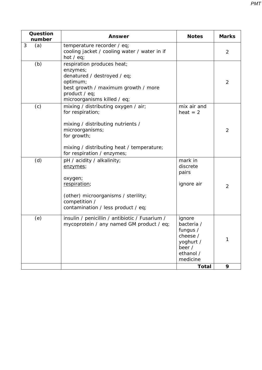| Question<br>number | <b>Answer</b>                                                                                                                                                                                             | <b>Notes</b>                                                                                                 | <b>Marks</b>   |
|--------------------|-----------------------------------------------------------------------------------------------------------------------------------------------------------------------------------------------------------|--------------------------------------------------------------------------------------------------------------|----------------|
| 3<br>(a)           | temperature recorder / eq;<br>cooling jacket / cooling water / water in if<br>hot $/$ eq;                                                                                                                 |                                                                                                              | $\overline{2}$ |
| (b)                | respiration produces heat;<br>enzymes;<br>denatured / destroyed / eq;<br>optimum;<br>best growth / maximum growth / more<br>product / eq;<br>microorganisms killed / eq;                                  |                                                                                                              | $\overline{2}$ |
| (c)                | mixing / distributing oxygen / air;<br>for respiration;<br>mixing / distributing nutrients /<br>microorganisms;<br>for growth;<br>mixing / distributing heat / temperature;<br>for respiration / enzymes; | mix air and<br>$heat = 2$                                                                                    | $\overline{2}$ |
| (d)                | pH / acidity / alkalinity;<br>enzymes;<br>oxygen;<br>respiration;<br>(other) microorganisms / sterility;<br>competition /<br>contamination / less product / eq;                                           | mark in<br>discrete<br>pairs<br>ignore air                                                                   | $\overline{2}$ |
| (e)                | insulin / penicillin / antibiotic / Fusarium /<br>mycoprotein / any named GM product / eq;                                                                                                                | ignore<br>bacteria /<br>fungus /<br>cheese /<br>yoghurt /<br>beer /<br>ethanol /<br>medicine<br><b>Total</b> | 1<br>9         |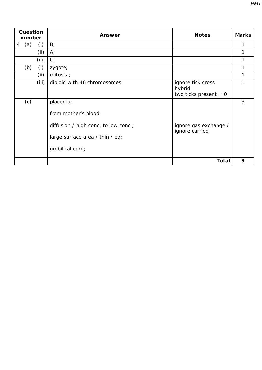| Question<br>number |       | <b>Answer</b>                                                                                                                   | <b>Notes</b>                                           | <b>Marks</b> |
|--------------------|-------|---------------------------------------------------------------------------------------------------------------------------------|--------------------------------------------------------|--------------|
| (a)<br>4           | (i)   | B;                                                                                                                              |                                                        |              |
|                    | (ii)  | $A^T$                                                                                                                           |                                                        |              |
|                    | (iii) | C <sub>i</sub>                                                                                                                  |                                                        |              |
| (b)                | (i)   | zygote;                                                                                                                         |                                                        |              |
|                    | (ii)  | mitosis ;                                                                                                                       |                                                        |              |
|                    | (iii) | diploid with 46 chromosomes;                                                                                                    | ignore tick cross<br>hybrid<br>two ticks present $= 0$ |              |
| (c)                |       | placenta;<br>from mother's blood;<br>diffusion / high conc. to low conc.;<br>large surface area / thin / eq;<br>umbilical cord; | ignore gas exchange /<br>ignore carried                | 3            |
|                    |       |                                                                                                                                 | <b>Total</b>                                           | 9            |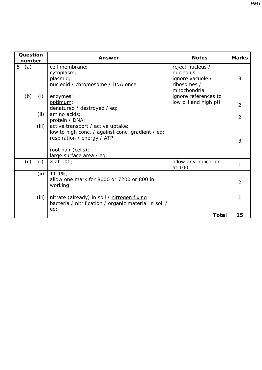| Question<br>number | Answer                                                                                                                                                                 | <b>Notes</b>                                                                     | <b>Marks</b> |
|--------------------|------------------------------------------------------------------------------------------------------------------------------------------------------------------------|----------------------------------------------------------------------------------|--------------|
| 5<br>(a)           | cell membrane;<br>cytoplasm;<br>plasmid;<br>nucleoid / chromosome / DNA once;                                                                                          | reject nucleus /<br>nucleolus<br>ignore vacuole /<br>ribosomes /<br>mitochondria | 3            |
| (b)<br>(i)         | enzymes;<br>optimum;<br>denatured / destroyed / eq;                                                                                                                    | ignore references to<br>low pH and high pH                                       | 2            |
| (ii)               | amino acids;<br>protein / DNA;                                                                                                                                         |                                                                                  | 2            |
| (iii)              | active transport / active uptake;<br>low to high conc. / against conc. gradient / eq;<br>respiration / energy / ATP;<br>root hair (cells);<br>large surface area / eq; |                                                                                  | 3            |
| (i)<br>(c)         | X at 100;                                                                                                                                                              | allow any indication<br>at 100                                                   |              |
| (ii)               | $11.1\%$ ;<br>allow one mark for 8000 or 7200 or 800 in<br>working                                                                                                     |                                                                                  | 2            |
| (iii)              | nitrate (already) in soil / nitrogen fixing<br>bacteria / nitrification / organic material in soil /<br>eq;                                                            |                                                                                  |              |
|                    |                                                                                                                                                                        | Total                                                                            | 15           |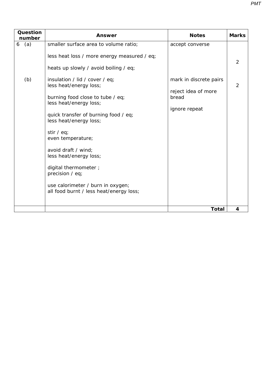| Question<br>number | Answer                                                                                                                                                                                                                                                                                                                                                                                                                                                                                                                                     | <b>Notes</b>                                                                               | <b>Marks</b>        |
|--------------------|--------------------------------------------------------------------------------------------------------------------------------------------------------------------------------------------------------------------------------------------------------------------------------------------------------------------------------------------------------------------------------------------------------------------------------------------------------------------------------------------------------------------------------------------|--------------------------------------------------------------------------------------------|---------------------|
| (a)<br>6<br>(b)    | smaller surface area to volume ratio;<br>less heat loss / more energy measured / eq;<br>heats up slowly / avoid boiling / eq;<br>insulation / lid / cover / eq;<br>less heat/energy loss;<br>burning food close to tube / eq;<br>less heat/energy loss;<br>quick transfer of burning food / eq;<br>less heat/energy loss;<br>stir $/$ eq;<br>even temperature;<br>avoid draft / wind;<br>less heat/energy loss;<br>digital thermometer;<br>precision / eq;<br>use calorimeter / burn in oxygen;<br>all food burnt / less heat/energy loss; | accept converse<br>mark in discrete pairs<br>reject idea of more<br>bread<br>ignore repeat | 2<br>$\overline{2}$ |
|                    |                                                                                                                                                                                                                                                                                                                                                                                                                                                                                                                                            | <b>Total</b>                                                                               | 4                   |